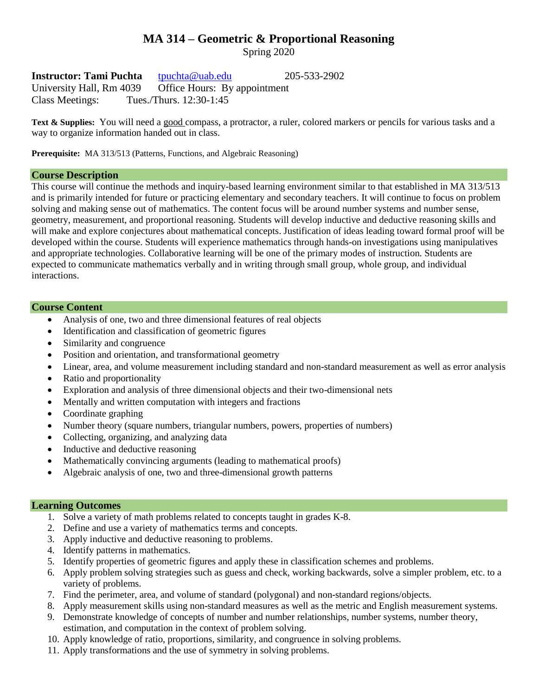# **MA 314 – Geometric & Proportional Reasoning**

Spring 2020

**Instructor: Tami Puchta** [tpuchta@uab.edu](mailto:tpuchta@uab.edu) 205-533-2902 University Hall, Rm 4039 Office Hours: By appointment Class Meetings: Tues./Thurs. 12:30-1:45

**Text & Supplies:** You will need a good compass, a protractor, a ruler, colored markers or pencils for various tasks and a way to organize information handed out in class.

**Prerequisite:** MA 313/513 (Patterns, Functions, and Algebraic Reasoning)

# **Course Description**

This course will continue the methods and inquiry-based learning environment similar to that established in MA 313/513 and is primarily intended for future or practicing elementary and secondary teachers. It will continue to focus on problem solving and making sense out of mathematics. The content focus will be around number systems and number sense, geometry, measurement, and proportional reasoning. Students will develop inductive and deductive reasoning skills and will make and explore conjectures about mathematical concepts. Justification of ideas leading toward formal proof will be developed within the course. Students will experience mathematics through hands-on investigations using manipulatives and appropriate technologies. Collaborative learning will be one of the primary modes of instruction. Students are expected to communicate mathematics verbally and in writing through small group, whole group, and individual interactions.

#### **Course Content**

- Analysis of one, two and three dimensional features of real objects
- Identification and classification of geometric figures
- Similarity and congruence
- Position and orientation, and transformational geometry
- Linear, area, and volume measurement including standard and non-standard measurement as well as error analysis
- Ratio and proportionality
- Exploration and analysis of three dimensional objects and their two-dimensional nets
- Mentally and written computation with integers and fractions
- Coordinate graphing
- Number theory (square numbers, triangular numbers, powers, properties of numbers)
- Collecting, organizing, and analyzing data
- Inductive and deductive reasoning
- Mathematically convincing arguments (leading to mathematical proofs)
- Algebraic analysis of one, two and three-dimensional growth patterns

#### **Learning Outcomes**

- 1. Solve a variety of math problems related to concepts taught in grades K-8.
- 2. Define and use a variety of mathematics terms and concepts.
- 3. Apply inductive and deductive reasoning to problems.
- 4. Identify patterns in mathematics.
- 5. Identify properties of geometric figures and apply these in classification schemes and problems.
- 6. Apply problem solving strategies such as guess and check, working backwards, solve a simpler problem, etc. to a variety of problems.
- 7. Find the perimeter, area, and volume of standard (polygonal) and non-standard regions/objects.
- 8. Apply measurement skills using non-standard measures as well as the metric and English measurement systems.
- 9. Demonstrate knowledge of concepts of number and number relationships, number systems, number theory, estimation, and computation in the context of problem solving.
- 10. Apply knowledge of ratio, proportions, similarity, and congruence in solving problems.
- 11. Apply transformations and the use of symmetry in solving problems.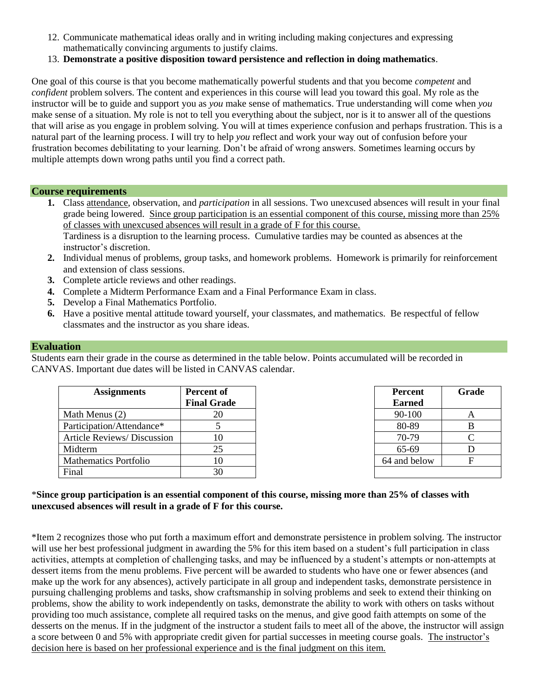- 12. Communicate mathematical ideas orally and in writing including making conjectures and expressing mathematically convincing arguments to justify claims.
- 13. **Demonstrate a positive disposition toward persistence and reflection in doing mathematics**.

One goal of this course is that you become mathematically powerful students and that you become *competent* and *confident* problem solvers. The content and experiences in this course will lead you toward this goal. My role as the instructor will be to guide and support you as *you* make sense of mathematics. True understanding will come when *you* make sense of a situation. My role is not to tell you everything about the subject, nor is it to answer all of the questions that will arise as you engage in problem solving. You will at times experience confusion and perhaps frustration. This is a natural part of the learning process. I will try to help *you* reflect and work your way out of confusion before your frustration becomes debilitating to your learning. Don't be afraid of wrong answers. Sometimes learning occurs by multiple attempts down wrong paths until you find a correct path.

#### **Course requirements**

- **1.** Class attendance, observation, and *participation* in all sessions. Two unexcused absences will result in your final grade being lowered. Since group participation is an essential component of this course, missing more than 25% of classes with unexcused absences will result in a grade of F for this course. Tardiness is a disruption to the learning process. Cumulative tardies may be counted as absences at the instructor's discretion.
- **2.** Individual menus of problems, group tasks, and homework problems. Homework is primarily for reinforcement and extension of class sessions.
- **3.** Complete article reviews and other readings.
- **4.** Complete a Midterm Performance Exam and a Final Performance Exam in class.
- **5.** Develop a Final Mathematics Portfolio.
- **6.** Have a positive mental attitude toward yourself, your classmates, and mathematics. Be respectful of fellow classmates and the instructor as you share ideas.

#### **Evaluation**

Students earn their grade in the course as determined in the table below. Points accumulated will be recorded in CANVAS. Important due dates will be listed in CANVAS calendar.

| <b>Assignments</b>           | <b>Percent of</b><br><b>Final Grade</b> | <b>Percent</b><br><b>Earned</b> | Gra |
|------------------------------|-----------------------------------------|---------------------------------|-----|
| Math Menus (2)               | 20                                      | 90-100                          | A   |
| Participation/Attendance*    |                                         | 80-89                           | B   |
| Article Reviews/Discussion   | 10                                      | 70-79                           |     |
| Midterm                      | 25                                      | 65-69                           |     |
| <b>Mathematics Portfolio</b> | 10                                      | 64 and below                    | F   |
| Final                        | 30                                      |                                 |     |

| <b>Percent</b> | Grade |  |
|----------------|-------|--|
| <b>Earned</b>  |       |  |
| 90-100         | А     |  |
| 80-89          | B     |  |
| 70-79          | C     |  |
| 65-69          | D     |  |
| 64 and below   | F     |  |
|                |       |  |

## \***Since group participation is an essential component of this course, missing more than 25% of classes with unexcused absences will result in a grade of F for this course.**

\*Item 2 recognizes those who put forth a maximum effort and demonstrate persistence in problem solving. The instructor will use her best professional judgment in awarding the 5% for this item based on a student's full participation in class activities, attempts at completion of challenging tasks, and may be influenced by a student's attempts or non-attempts at dessert items from the menu problems. Five percent will be awarded to students who have one or fewer absences (and make up the work for any absences), actively participate in all group and independent tasks, demonstrate persistence in pursuing challenging problems and tasks, show craftsmanship in solving problems and seek to extend their thinking on problems, show the ability to work independently on tasks, demonstrate the ability to work with others on tasks without providing too much assistance, complete all required tasks on the menus, and give good faith attempts on some of the desserts on the menus. If in the judgment of the instructor a student fails to meet all of the above, the instructor will assign a score between 0 and 5% with appropriate credit given for partial successes in meeting course goals. The instructor's decision here is based on her professional experience and is the final judgment on this item.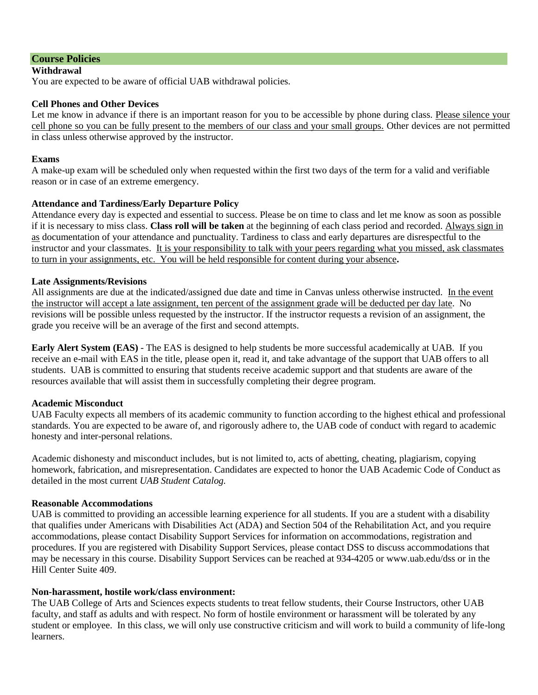# **Course Policies**

#### **Withdrawal**

You are expected to be aware of official UAB withdrawal policies.

#### **Cell Phones and Other Devices**

Let me know in advance if there is an important reason for you to be accessible by phone during class. Please silence your cell phone so you can be fully present to the members of our class and your small groups. Other devices are not permitted in class unless otherwise approved by the instructor.

### **Exams**

A make-up exam will be scheduled only when requested within the first two days of the term for a valid and verifiable reason or in case of an extreme emergency.

## **Attendance and Tardiness/Early Departure Policy**

Attendance every day is expected and essential to success. Please be on time to class and let me know as soon as possible if it is necessary to miss class. **Class roll will be taken** at the beginning of each class period and recorded. Always sign in as documentation of your attendance and punctuality. Tardiness to class and early departures are disrespectful to the instructor and your classmates. It is your responsibility to talk with your peers regarding what you missed, ask classmates to turn in your assignments, etc. You will be held responsible for content during your absence**.** 

#### **Late Assignments/Revisions**

All assignments are due at the indicated/assigned due date and time in Canvas unless otherwise instructed. In the event the instructor will accept a late assignment, ten percent of the assignment grade will be deducted per day late. No revisions will be possible unless requested by the instructor. If the instructor requests a revision of an assignment, the grade you receive will be an average of the first and second attempts.

**Early Alert System (EAS)** - The EAS is designed to help students be more successful academically at UAB. If you receive an e-mail with EAS in the title, please open it, read it, and take advantage of the support that UAB offers to all students. UAB is committed to ensuring that students receive academic support and that students are aware of the resources available that will assist them in successfully completing their degree program.

#### **Academic Misconduct**

UAB Faculty expects all members of its academic community to function according to the highest ethical and professional standards. You are expected to be aware of, and rigorously adhere to, the UAB code of conduct with regard to academic honesty and inter-personal relations.

Academic dishonesty and misconduct includes, but is not limited to, acts of abetting, cheating, plagiarism, copying homework, fabrication, and misrepresentation. Candidates are expected to honor the UAB Academic Code of Conduct as detailed in the most current *UAB Student Catalog.*

#### **Reasonable Accommodations**

UAB is committed to providing an accessible learning experience for all students. If you are a student with a disability that qualifies under Americans with Disabilities Act (ADA) and Section 504 of the Rehabilitation Act, and you require accommodations, please contact Disability Support Services for information on accommodations, registration and procedures. If you are registered with Disability Support Services, please contact DSS to discuss accommodations that may be necessary in this course. Disability Support Services can be reached at 934-4205 or www.uab.edu/dss or in the Hill Center Suite 409.

#### **Non-harassment, hostile work/class environment:**

The UAB College of Arts and Sciences expects students to treat fellow students, their Course Instructors, other UAB faculty, and staff as adults and with respect. No form of hostile environment or harassment will be tolerated by any student or employee. In this class, we will only use constructive criticism and will work to build a community of life-long learners.